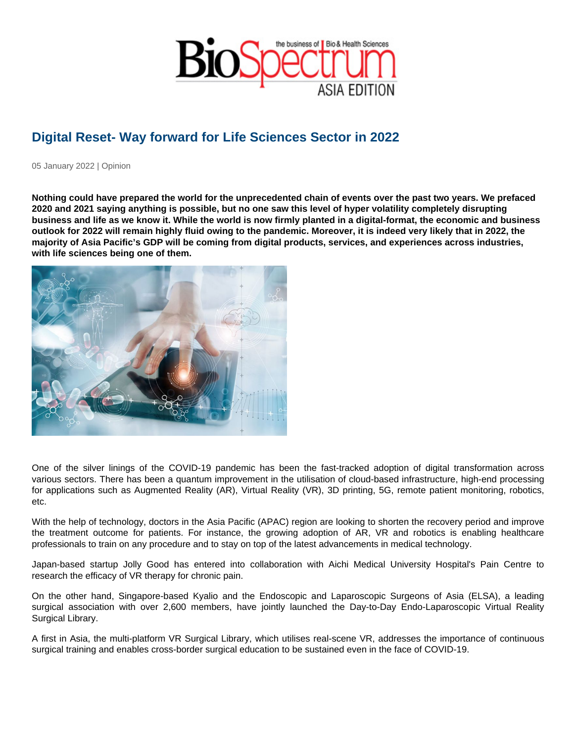## Digital Reset- Way forward for Life Sciences Sector in 2022

05 January 2022 | Opinion

Nothing could have prepared the world for the unprecedented chain of events over the past two years. We prefaced 2020 and 2021 saying anything is possible, but no one saw this level of hyper volatility completely disrupting business and life as we know it. While the world is now firmly planted in a digital-format, the economic and business outlook for 2022 will remain highly fluid owing to the pandemic. Moreover, it is indeed very likely that in 2022, the majority of Asia Pacific's GDP will be coming from digital products, services, and experiences across industries, with life sciences being one of them.

One of the silver linings of the COVID-19 pandemic has been the fast-tracked adoption of digital transformation across various sectors. There has been a quantum improvement in the utilisation of cloud-based infrastructure, high-end processing for applications such as Augmented Reality (AR), Virtual Reality (VR), 3D printing, 5G, remote patient monitoring, robotics, etc.

With the help of technology, doctors in the Asia Pacific (APAC) region are looking to shorten the recovery period and improve the treatment outcome for patients. For instance, the growing adoption of AR, VR and robotics is enabling healthcare professionals to train on any procedure and to stay on top of the latest advancements in medical technology.

Japan-based startup Jolly Good has entered into collaboration with Aichi Medical University Hospital's Pain Centre to research the efficacy of VR therapy for chronic pain.

On the other hand, Singapore-based Kyalio and the Endoscopic and Laparoscopic Surgeons of Asia (ELSA), a leading surgical association with over 2,600 members, have jointly launched the Day-to-Day Endo-Laparoscopic Virtual Reality Surgical Library.

A first in Asia, the multi-platform VR Surgical Library, which utilises real-scene VR, addresses the importance of continuous surgical training and enables cross-border surgical education to be sustained even in the face of COVID-19.